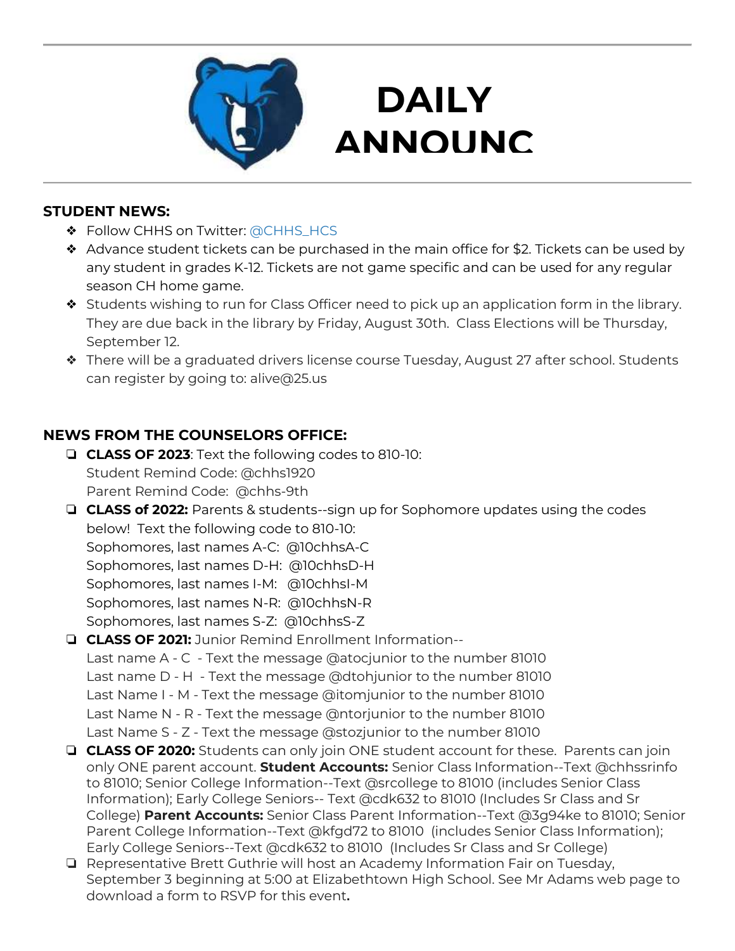

## **DAILY ANNOUNC**

**EMENTS AND STRUCTURE** 

#### **STUDENT NEWS:**

- ❖ Follow CHHS on Twitter: [@CHHS\\_HCS](https://twitter.com/CHHS_HCS)
- ❖ Advance student tickets can be purchased in the main office for \$2. Tickets can be used by any student in grades K-12. Tickets are not game specific and can be used for any regular season CH home game.
- ❖ Students wishing to run for Class Officer need to pick up an application form in the library. They are due back in the library by Friday, August 30th. Class Elections will be Thursday, September 12.
- ❖ There will be a graduated drivers license course Tuesday, August 27 after school. Students can register by going to: alive@25.us

### **NEWS FROM THE COUNSELORS OFFICE:**

- ❏ **CLASS OF 2023**: Text the following codes to 810-10: Student Remind Code: @chhs1920 Parent Remind Code: @chhs-9th
- ❏ **CLASS of 2022:** Parents & students--sign up for Sophomore updates using the codes below! Text the following code to 810-10: Sophomores, last names A-C: @10chhsA-C Sophomores, last names D-H: @10chhsD-H Sophomores, last names I-M: @10chhsI-M Sophomores, last names N-R: @10chhsN-R Sophomores, last names S-Z: @10chhsS-Z
- ❏ **CLASS OF 2021:** Junior Remind Enrollment Information-- Last name A - C - Text the message @atocjunior to the number 81010 Last name D - H - Text the message @dtohjunior to the number 81010 Last Name I - M - Text the message @itomjunior to the number 81010 Last Name N - R - Text the message @ntorjunior to the number 81010 Last Name S - Z - Text the message @stozjunior to the number 81010
- ❏ **CLASS OF 2020:** Students can only join ONE student account for these. Parents can join only ONE parent account. **Student Accounts:** Senior Class Information--Text @chhssrinfo to 81010; Senior College Information--Text @srcollege to 81010 (includes Senior Class Information); Early College Seniors-- Text @cdk632 to 81010 (Includes Sr Class and Sr College) **Parent Accounts:** Senior Class Parent Information--Text @3g94ke to 81010; Senior Parent College Information--Text @kfgd72 to 81010 (includes Senior Class Information); Early College Seniors--Text @cdk632 to 81010 (Includes Sr Class and Sr College)
- ❏ Representative Brett Guthrie will host an Academy Information Fair on Tuesday, September 3 beginning at 5:00 at Elizabethtown High School. See Mr Adams web page to download a form to RSVP for this event**.**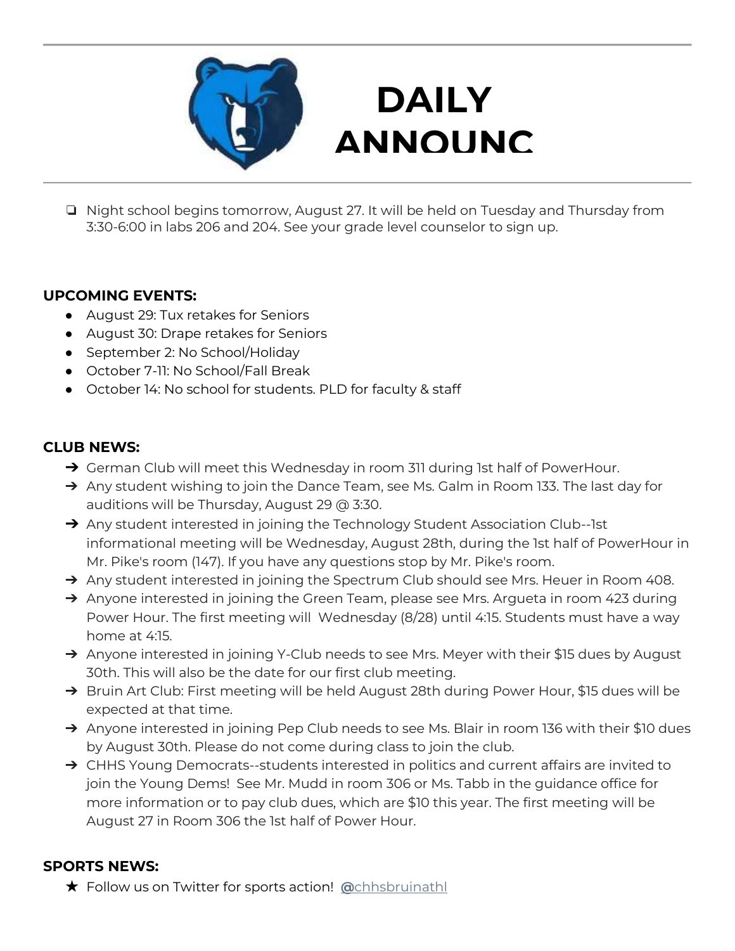

# **DAILY ANNOUNC**

**EMENTS AND STRUCK SERVICE** ❏ Night school begins tomorrow, August 27. It will be held on Tuesday and Thursday from 3:30-6:00 in labs 206 and 204. See your grade level counselor to sign up.

#### **UPCOMING EVENTS:**

- August 29: Tux retakes for Seniors
- August 30: Drape retakes for Seniors
- September 2: No School/Holiday
- October 7-11: No School/Fall Break
- October 14: No school for students. PLD for faculty & staff

### **CLUB NEWS:**

- → German Club will meet this Wednesday in room 311 during 1st half of PowerHour.
- → Any student wishing to join the Dance Team, see Ms. Galm in Room 133. The last day for auditions will be Thursday, August 29 @ 3:30.
- → Any student interested in joining the Technology Student Association Club--1st informational meeting will be Wednesday, August 28th, during the 1st half of PowerHour in Mr. Pike's room (147). If you have any questions stop by Mr. Pike's room.
- → Any student interested in joining the Spectrum Club should see Mrs. Heuer in Room 408.
- → Anyone interested in joining the Green Team, please see Mrs. Argueta in room 423 during Power Hour. The first meeting will Wednesday (8/28) until 4:15. Students must have a way home at 4:15.
- → Anyone interested in joining Y-Club needs to see Mrs. Meyer with their \$15 dues by August 30th. This will also be the date for our first club meeting.
- → Bruin Art Club: First meeting will be held August 28th during Power Hour, \$15 dues will be expected at that time.
- → Anyone interested in joining Pep Club needs to see Ms. Blair in room 136 with their \$10 dues by August 30th. Please do not come during class to join the club.
- → CHHS Young Democrats--students interested in politics and current affairs are invited to join the Young Dems! See Mr. Mudd in room 306 or Ms. Tabb in the guidance office for more information or to pay club dues, which are \$10 this year. The first meeting will be August 27 in Room 306 the 1st half of Power Hour.

#### **SPORTS NEWS:**

★ Follow us on Twitter for sports action! **[@](https://twitter.com/chhsbruinathl)**[chhsbruinathl](https://twitter.com/chhsbruinathl)